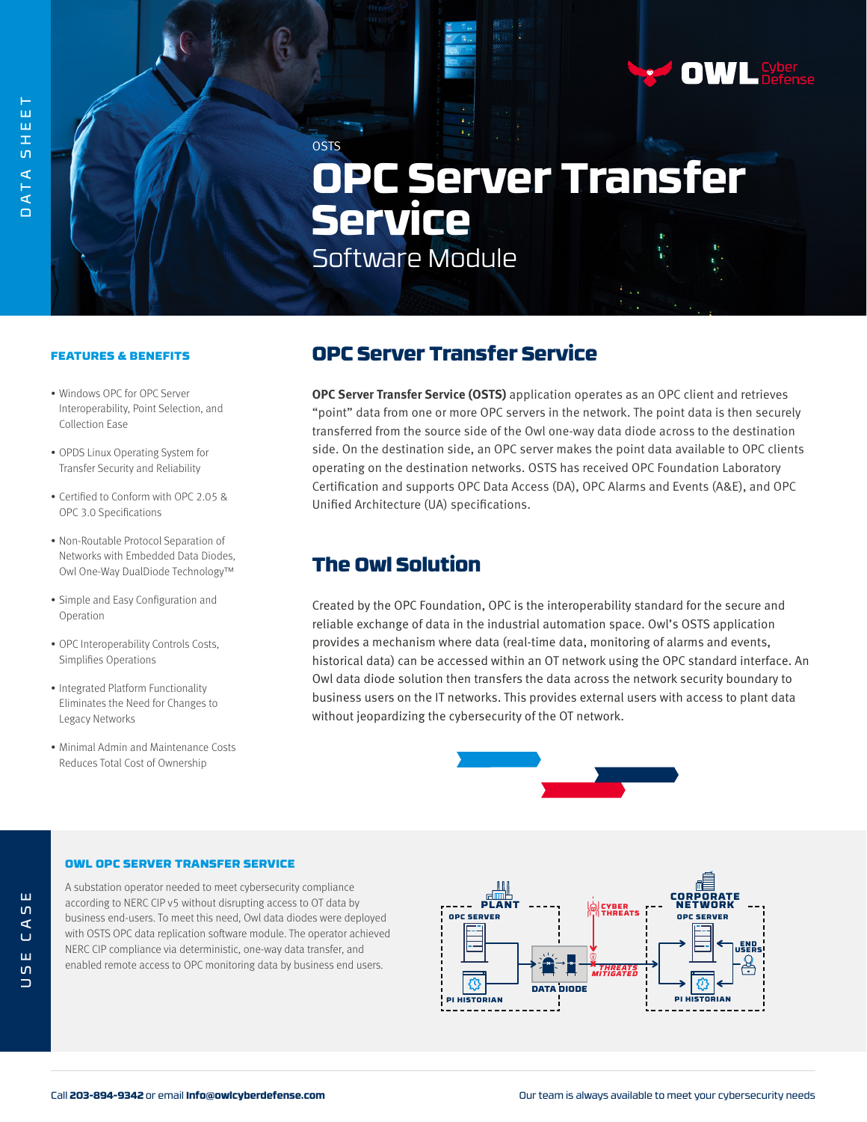# **OSTS OPC Server Transfer Service** Software Module

### FEATURES & BENEFITS

- Windows OPC for OPC Server Interoperability, Point Selection, and Collection Ease
- OPDS Linux Operating System for Transfer Security and Reliability
- Certified to Conform with OPC 2.05 & OPC 3.0 Specifications
- Non-Routable Protocol Separation of Networks with Embedded Data Diodes, Owl One-Way DualDiode Technology™
- Simple and Easy Configuration and Operation
- OPC Interoperability Controls Costs, Simplifies Operations
- Integrated Platform Functionality Eliminates the Need for Changes to Legacy Networks
- Minimal Admin and Maintenance Costs Reduces Total Cost of Ownership

## OPC Server Transfer Service

**OPC Server Transfer Service (OSTS)** application operates as an OPC client and retrieves "point" data from one or more OPC servers in the network. The point data is then securely transferred from the source side of the Owl one-way data diode across to the destination side. On the destination side, an OPC server makes the point data available to OPC clients operating on the destination networks. OSTS has received OPC Foundation Laboratory Certification and supports OPC Data Access (DA), OPC Alarms and Events (A&E), and OPC Unified Architecture (UA) specifications.

### The Owl Solution

Created by the OPC Foundation, OPC is the interoperability standard for the secure and reliable exchange of data in the industrial automation space. Owl's OSTS application provides a mechanism where data (real-time data, monitoring of alarms and events, historical data) can be accessed within an OT network using the OPC standard interface. An Owl data diode solution then transfers the data across the network security boundary to business users on the IT networks. This provides external users with access to plant data without jeopardizing the cybersecurity of the OT network.



#### OWL OPC SERVER TRANSFER SERVICE

A substation operator needed to meet cybersecurity compliance according to NERC CIP v5 without disrupting access to OT data by business end-users. To meet this need, Owl data diodes were deployed with OSTS OPC data replication software module. The operator achieved NERC CIP compliance via deterministic, one-way data transfer, and enabled remote access to OPC monitoring data by business end users.